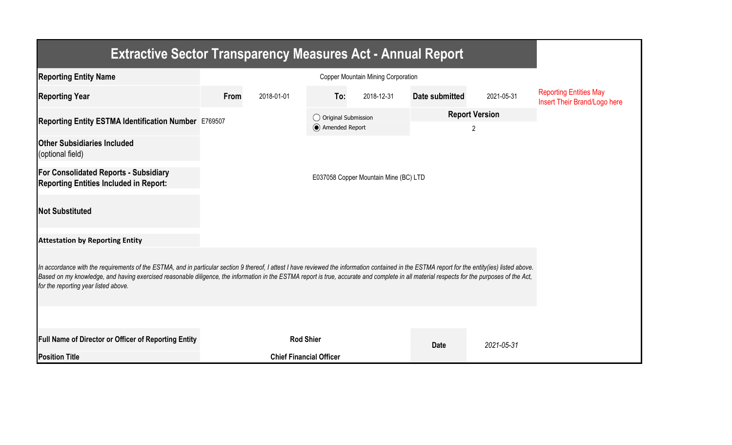| <b>Extractive Sector Transparency Measures Act - Annual Report</b>                                                                                                                                                                                                                                                                                                                                                                    |                                       |                                |                                         |            |                |                            |                                                               |  |  |  |  |
|---------------------------------------------------------------------------------------------------------------------------------------------------------------------------------------------------------------------------------------------------------------------------------------------------------------------------------------------------------------------------------------------------------------------------------------|---------------------------------------|--------------------------------|-----------------------------------------|------------|----------------|----------------------------|---------------------------------------------------------------|--|--|--|--|
| <b>Reporting Entity Name</b>                                                                                                                                                                                                                                                                                                                                                                                                          |                                       |                                |                                         |            |                |                            |                                                               |  |  |  |  |
| <b>Reporting Year</b>                                                                                                                                                                                                                                                                                                                                                                                                                 | From                                  | 2018-01-01                     | To:                                     | 2018-12-31 | Date submitted | 2021-05-31                 | <b>Reporting Entities May</b><br>Insert Their Brand/Logo here |  |  |  |  |
| Reporting Entity ESTMA Identification Number E769507                                                                                                                                                                                                                                                                                                                                                                                  |                                       |                                | ◯ Original Submission<br>Amended Report |            |                | <b>Report Version</b><br>2 |                                                               |  |  |  |  |
| <b>Other Subsidiaries Included</b><br>(optional field)                                                                                                                                                                                                                                                                                                                                                                                |                                       |                                |                                         |            |                |                            |                                                               |  |  |  |  |
| <b>For Consolidated Reports - Subsidiary</b><br><b>Reporting Entities Included in Report:</b>                                                                                                                                                                                                                                                                                                                                         | E037058 Copper Mountain Mine (BC) LTD |                                |                                         |            |                |                            |                                                               |  |  |  |  |
| <b>Not Substituted</b>                                                                                                                                                                                                                                                                                                                                                                                                                |                                       |                                |                                         |            |                |                            |                                                               |  |  |  |  |
| <b>Attestation by Reporting Entity</b>                                                                                                                                                                                                                                                                                                                                                                                                |                                       |                                |                                         |            |                |                            |                                                               |  |  |  |  |
| In accordance with the requirements of the ESTMA, and in particular section 9 thereof, I attest I have reviewed the information contained in the ESTMA report for the entity(ies) listed above.<br>Based on my knowledge, and having exercised reasonable diligence, the information in the ESTMA report is true, accurate and complete in all material respects for the purposes of the Act,<br>for the reporting year listed above. |                                       |                                |                                         |            |                |                            |                                                               |  |  |  |  |
|                                                                                                                                                                                                                                                                                                                                                                                                                                       |                                       |                                |                                         |            |                |                            |                                                               |  |  |  |  |
| <b>Full Name of Director or Officer of Reporting Entity</b>                                                                                                                                                                                                                                                                                                                                                                           |                                       | <b>Rod Shier</b>               |                                         |            | <b>Date</b>    | 2021-05-31                 |                                                               |  |  |  |  |
| <b>Position Title</b>                                                                                                                                                                                                                                                                                                                                                                                                                 |                                       | <b>Chief Financial Officer</b> |                                         |            |                |                            |                                                               |  |  |  |  |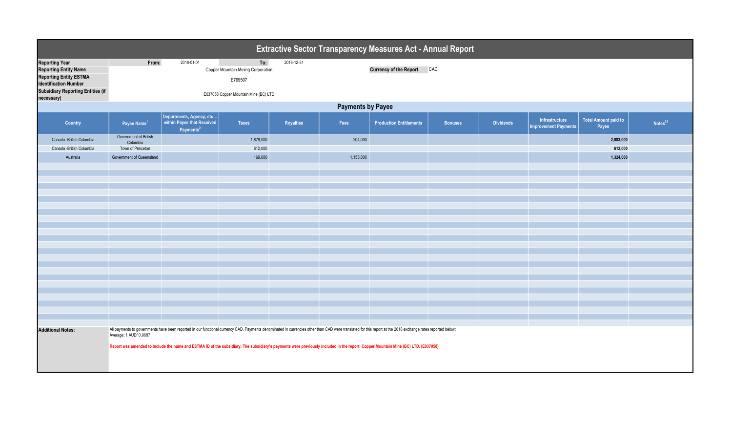| Extractive Sector Transparency Measures Act - Annual Report                                                                                                                      |                                                                                                                                                                                                                                       |                                                                                                                                                                                   |                                                                                               |            |           |                                |                |                  |                                               |                                      |                     |  |
|----------------------------------------------------------------------------------------------------------------------------------------------------------------------------------|---------------------------------------------------------------------------------------------------------------------------------------------------------------------------------------------------------------------------------------|-----------------------------------------------------------------------------------------------------------------------------------------------------------------------------------|-----------------------------------------------------------------------------------------------|------------|-----------|--------------------------------|----------------|------------------|-----------------------------------------------|--------------------------------------|---------------------|--|
| <b>Reporting Year</b><br><b>Reporting Entity Name</b><br><b>Reporting Entity ESTMA</b><br><b>Identification Number</b><br><b>Subsidiary Reporting Entities (if</b><br>necessary) | From:                                                                                                                                                                                                                                 | 2018-01-01                                                                                                                                                                        | To:<br>Copper Mountain Mining Corporation<br>E769507<br>E037058 Copper Mountain Mine (BC) LTD | 2018-12-31 |           | <b>Currency of the Report</b>  | CAD            |                  |                                               |                                      |                     |  |
|                                                                                                                                                                                  | <b>Payments by Payee</b>                                                                                                                                                                                                              |                                                                                                                                                                                   |                                                                                               |            |           |                                |                |                  |                                               |                                      |                     |  |
| Country                                                                                                                                                                          | Payee Name <sup>1</sup>                                                                                                                                                                                                               | Departments, Agency, etc<br>within Payee that Received<br>Payments <sup>2</sup>                                                                                                   | <b>Taxes</b>                                                                                  | Royalties  | Fees      | <b>Production Entitlements</b> | <b>Bonuses</b> | <b>Dividends</b> | Infrastructure<br><b>Improvement Payments</b> | <b>Total Amount paid to</b><br>Payee | Notes <sup>34</sup> |  |
| Canada - British Columbia                                                                                                                                                        | Government of British<br>Columbia                                                                                                                                                                                                     |                                                                                                                                                                                   | 1,879,000                                                                                     |            | 204,000   |                                |                |                  |                                               | 2,083,000                            |                     |  |
| Canada - British Columbia                                                                                                                                                        | Town of Princeton                                                                                                                                                                                                                     |                                                                                                                                                                                   | 612,000                                                                                       |            |           |                                |                |                  |                                               | 612,000                              |                     |  |
| Australia                                                                                                                                                                        | Government of Queensland                                                                                                                                                                                                              |                                                                                                                                                                                   | 169,000                                                                                       |            | 1,155,000 |                                |                |                  |                                               | 1,324,000                            |                     |  |
|                                                                                                                                                                                  |                                                                                                                                                                                                                                       |                                                                                                                                                                                   |                                                                                               |            |           |                                |                |                  |                                               |                                      |                     |  |
|                                                                                                                                                                                  |                                                                                                                                                                                                                                       |                                                                                                                                                                                   |                                                                                               |            |           |                                |                |                  |                                               |                                      |                     |  |
|                                                                                                                                                                                  |                                                                                                                                                                                                                                       |                                                                                                                                                                                   |                                                                                               |            |           |                                |                |                  |                                               |                                      |                     |  |
|                                                                                                                                                                                  |                                                                                                                                                                                                                                       |                                                                                                                                                                                   |                                                                                               |            |           |                                |                |                  |                                               |                                      |                     |  |
|                                                                                                                                                                                  |                                                                                                                                                                                                                                       |                                                                                                                                                                                   |                                                                                               |            |           |                                |                |                  |                                               |                                      |                     |  |
|                                                                                                                                                                                  |                                                                                                                                                                                                                                       |                                                                                                                                                                                   |                                                                                               |            |           |                                |                |                  |                                               |                                      |                     |  |
|                                                                                                                                                                                  |                                                                                                                                                                                                                                       |                                                                                                                                                                                   |                                                                                               |            |           |                                |                |                  |                                               |                                      |                     |  |
|                                                                                                                                                                                  |                                                                                                                                                                                                                                       |                                                                                                                                                                                   |                                                                                               |            |           |                                |                |                  |                                               |                                      |                     |  |
|                                                                                                                                                                                  |                                                                                                                                                                                                                                       |                                                                                                                                                                                   |                                                                                               |            |           |                                |                |                  |                                               |                                      |                     |  |
|                                                                                                                                                                                  |                                                                                                                                                                                                                                       |                                                                                                                                                                                   |                                                                                               |            |           |                                |                |                  |                                               |                                      |                     |  |
|                                                                                                                                                                                  |                                                                                                                                                                                                                                       |                                                                                                                                                                                   |                                                                                               |            |           |                                |                |                  |                                               |                                      |                     |  |
|                                                                                                                                                                                  |                                                                                                                                                                                                                                       |                                                                                                                                                                                   |                                                                                               |            |           |                                |                |                  |                                               |                                      |                     |  |
|                                                                                                                                                                                  |                                                                                                                                                                                                                                       |                                                                                                                                                                                   |                                                                                               |            |           |                                |                |                  |                                               |                                      |                     |  |
|                                                                                                                                                                                  |                                                                                                                                                                                                                                       |                                                                                                                                                                                   |                                                                                               |            |           |                                |                |                  |                                               |                                      |                     |  |
|                                                                                                                                                                                  |                                                                                                                                                                                                                                       |                                                                                                                                                                                   |                                                                                               |            |           |                                |                |                  |                                               |                                      |                     |  |
| <b>Additional Notes:</b>                                                                                                                                                         | All payments to governments have been reported in our functional currency CAD. Payments denominated in currencies other than CAD were translated for this report at the 2018 exchange rates reported below:<br>Average: 1 AUD/ 0.9687 |                                                                                                                                                                                   |                                                                                               |            |           |                                |                |                  |                                               |                                      |                     |  |
|                                                                                                                                                                                  |                                                                                                                                                                                                                                       | Report was amended to include the name and ESTMA ID of the subsidiary. The subsidiary's payments were previously included in the report: Copper Mountain Mine (BC) LTD. (E037058) |                                                                                               |            |           |                                |                |                  |                                               |                                      |                     |  |